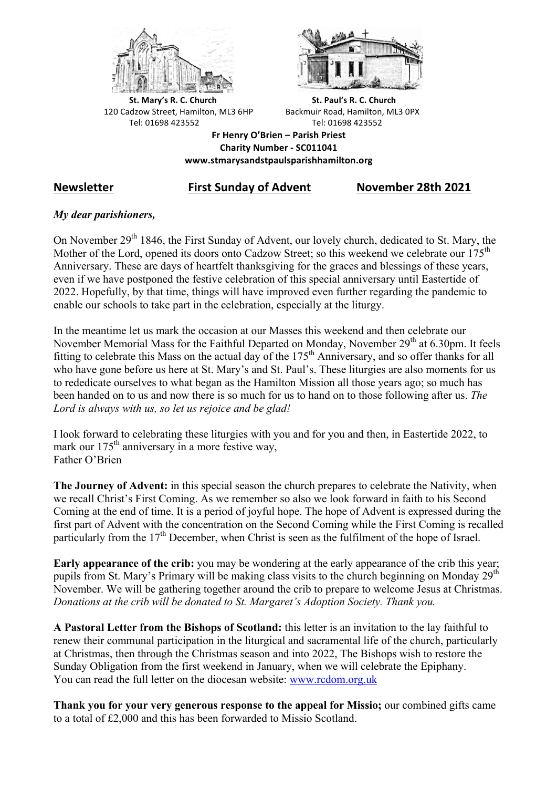



**St.** Mary's R. C. Church St. Paul's R. C. Church 120 Cadzow Street, Hamilton, ML3 6HP Backmuir Road, Hamilton, ML3 0PX Tel: 01698 423552 Tel: 01698 423552

**Fr Henry O'Brien – Parish Priest Charity Number - SC011041 www.stmarysandstpaulsparishhamilton.org**

# **Newsletter First Sunday of Advent November 28th 2021**

## *My dear parishioners,*

On November 29<sup>th</sup> 1846, the First Sunday of Advent, our lovely church, dedicated to St. Mary, the Mother of the Lord, opened its doors onto Cadzow Street; so this weekend we celebrate our 175<sup>th</sup> Anniversary. These are days of heartfelt thanksgiving for the graces and blessings of these years, even if we have postponed the festive celebration of this special anniversary until Eastertide of 2022. Hopefully, by that time, things will have improved even further regarding the pandemic to enable our schools to take part in the celebration, especially at the liturgy.

In the meantime let us mark the occasion at our Masses this weekend and then celebrate our November Memorial Mass for the Faithful Departed on Monday, November 29<sup>th</sup> at 6.30pm. It feels fitting to celebrate this Mass on the actual day of the  $175<sup>th</sup>$  Anniversary, and so offer thanks for all who have gone before us here at St. Mary's and St. Paul's. These liturgies are also moments for us to rededicate ourselves to what began as the Hamilton Mission all those years ago; so much has been handed on to us and now there is so much for us to hand on to those following after us. *The Lord is always with us, so let us rejoice and be glad!*

I look forward to celebrating these liturgies with you and for you and then, in Eastertide 2022, to mark our 175<sup>th</sup> anniversary in a more festive way, Father O'Brien

**The Journey of Advent:** in this special season the church prepares to celebrate the Nativity, when we recall Christ's First Coming. As we remember so also we look forward in faith to his Second Coming at the end of time. It is a period of joyful hope. The hope of Advent is expressed during the first part of Advent with the concentration on the Second Coming while the First Coming is recalled particularly from the 17<sup>th</sup> December, when Christ is seen as the fulfilment of the hope of Israel.

**Early appearance of the crib:** you may be wondering at the early appearance of the crib this year; pupils from St. Mary's Primary will be making class visits to the church beginning on Monday  $29<sup>th</sup>$ November. We will be gathering together around the crib to prepare to welcome Jesus at Christmas. *Donations at the crib will be donated to St. Margaret's Adoption Society. Thank you.*

**A Pastoral Letter from the Bishops of Scotland:** this letter is an invitation to the lay faithful to renew their communal participation in the liturgical and sacramental life of the church, particularly at Christmas, then through the Christmas season and into 2022, The Bishops wish to restore the Sunday Obligation from the first weekend in January, when we will celebrate the Epiphany. You can read the full letter on the diocesan website: www.rcdom.org.uk

**Thank you for your very generous response to the appeal for Missio;** our combined gifts came to a total of £2,000 and this has been forwarded to Missio Scotland.